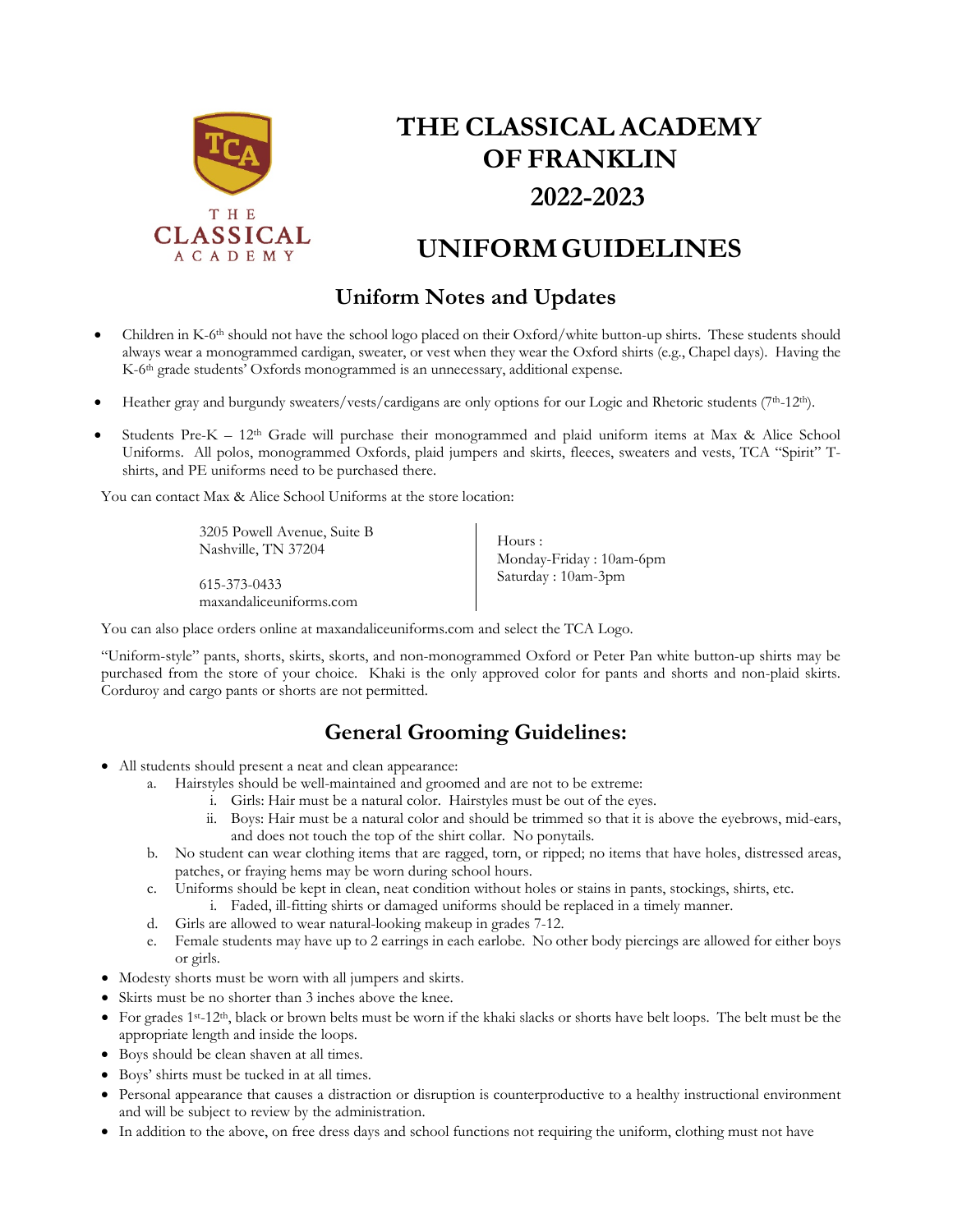

# **THE CLASSICAL ACADEMY OF FRANKLIN 2022-2023**

## **UNIFORMGUIDELINES**

#### **Uniform Notes and Updates**

- Children in K-6<sup>th</sup> should not have the school logo placed on their Oxford/white button-up shirts. These students should always wear a monogrammed cardigan, sweater, or vest when they wear the Oxford shirts (e.g., Chapel days). Having the K-6<sup>th</sup> grade students' Oxfords monogrammed is an unnecessary, additional expense.
- Heather gray and burgundy sweaters/vests/cardigans are only options for our Logic and Rhetoric students (7th-12th).
- Students Pre-K 12<sup>th</sup> Grade will purchase their monogrammed and plaid uniform items at Max & Alice School Uniforms. All polos, monogrammed Oxfords, plaid jumpers and skirts, fleeces, sweaters and vests, TCA "Spirit" Tshirts, and PE uniforms need to be purchased there.

You can contact Max & Alice School Uniforms at the store location:

3205 Powell Avenue, Suite B Nashville, TN 37204 615-373-0433

maxandaliceuniforms.com

Hours : Monday-Friday : 10am-6pm Saturday : 10am-3pm

You can also place orders online at maxandaliceuniforms.com and select the TCA Logo.

"Uniform-style" pants, shorts, skirts, skorts, and non-monogrammed Oxford or Peter Pan white button-up shirts may be purchased from the store of your choice. Khaki is the only approved color for pants and shorts and non-plaid skirts. Corduroy and cargo pants or shorts are not permitted.

#### **General Grooming Guidelines:**

- All students should present a neat and clean appearance:
	- a. Hairstyles should be well-maintained and groomed and are not to be extreme:
		- i. Girls: Hair must be a natural color. Hairstyles must be out of the eyes.
			- ii. Boys: Hair must be a natural color and should be trimmed so that it is above the eyebrows, mid-ears, and does not touch the top of the shirt collar. No ponytails.
	- b. No student can wear clothing items that are ragged, torn, or ripped; no items that have holes, distressed areas, patches, or fraying hems may be worn during school hours.
	- c. Uniforms should be kept in clean, neat condition without holes or stains in pants, stockings, shirts, etc.
		- i. Faded, ill-fitting shirts or damaged uniforms should be replaced in a timely manner.
	- d. Girls are allowed to wear natural-looking makeup in grades 7-12.
	- e. Female students may have up to 2 earrings in each earlobe. No other body piercings are allowed for either boys or girls.
- Modesty shorts must be worn with all jumpers and skirts.
- Skirts must be no shorter than 3 inches above the knee.
- For grades 1st-12th, black or brown belts must be worn if the khaki slacks or shorts have belt loops. The belt must be the appropriate length and inside the loops.
- Boys should be clean shaven at all times.
- Boys' shirts must be tucked in at all times.
- Personal appearance that causes a distraction or disruption is counterproductive to a healthy instructional environment and will be subject to review by the administration.
- In addition to the above, on free dress days and school functions not requiring the uniform, clothing must not have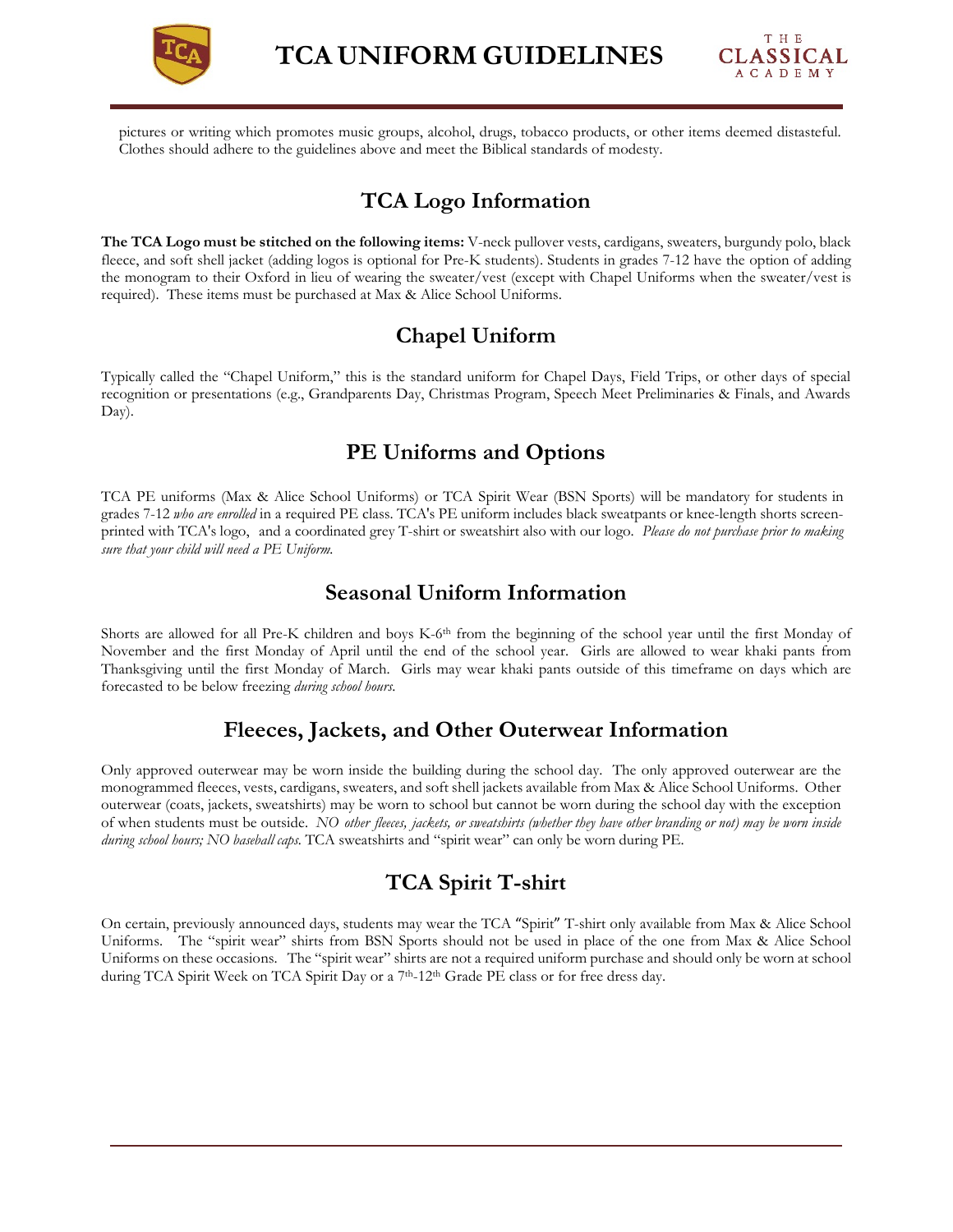



pictures or writing which promotes music groups, alcohol, drugs, tobacco products, or other items deemed distasteful. Clothes should adhere to the guidelines above and meet the Biblical standards of modesty.

#### **TCA Logo Information**

**The TCA Logo must be stitched on the following items:** V-neck pullover vests, cardigans, sweaters, burgundy polo, black fleece, and soft shell jacket (adding logos is optional for Pre-K students). Students in grades 7-12 have the option of adding the monogram to their Oxford in lieu of wearing the sweater/vest (except with Chapel Uniforms when the sweater/vest is required). These items must be purchased at Max & Alice School Uniforms.

#### **Chapel Uniform**

Typically called the "Chapel Uniform," this is the standard uniform for Chapel Days, Field Trips, or other days of special recognition or presentations (e.g., Grandparents Day, Christmas Program, Speech Meet Preliminaries & Finals, and Awards Day).

#### **PE Uniforms and Options**

TCA PE uniforms (Max & Alice School Uniforms) or TCA Spirit Wear (BSN Sports) will be mandatory for students in grades 7-12 *who are enrolled* in a required PE class. TCA's PE uniform includes black sweatpants or knee-length shorts screenprinted with TCA's logo, and a coordinated grey T-shirt or sweatshirt also with our logo. *Please do not purchase prior to making sure that your child will need a PE Uniform.*

#### **Seasonal Uniform Information**

Shorts are allowed for all Pre-K children and boys K-6<sup>th</sup> from the beginning of the school year until the first Monday of November and the first Monday of April until the end of the school year. Girls are allowed to wear khaki pants from Thanksgiving until the first Monday of March. Girls may wear khaki pants outside of this timeframe on days which are forecasted to be below freezing *during school hours*.

#### **Fleeces, Jackets, and Other Outerwear Information**

Only approved outerwear may be worn inside the building during the school day. The only approved outerwear are the monogrammed fleeces, vests, cardigans, sweaters, and soft shell jackets available from Max & Alice School Uniforms. Other outerwear (coats, jackets, sweatshirts) may be worn to school but cannot be worn during the school day with the exception of when students must be outside. *NO other fleeces, jackets, or sweatshirts (whether they have other branding or not) may be worn inside during school hours; NO baseball caps.* TCA sweatshirts and "spirit wear" can only be worn during PE.

#### **TCA Spirit T-shirt**

On certain, previously announced days, students may wear the TCA "Spirit" T-shirt only available from Max & Alice School Uniforms. The "spirit wear" shirts from BSN Sports should not be used in place of the one from Max & Alice School Uniforms on these occasions. The "spirit wear" shirts are not a required uniform purchase and should only be worn at school during TCA Spirit Week on TCA Spirit Day or a 7<sup>th</sup>-12<sup>th</sup> Grade PE class or for free dress day.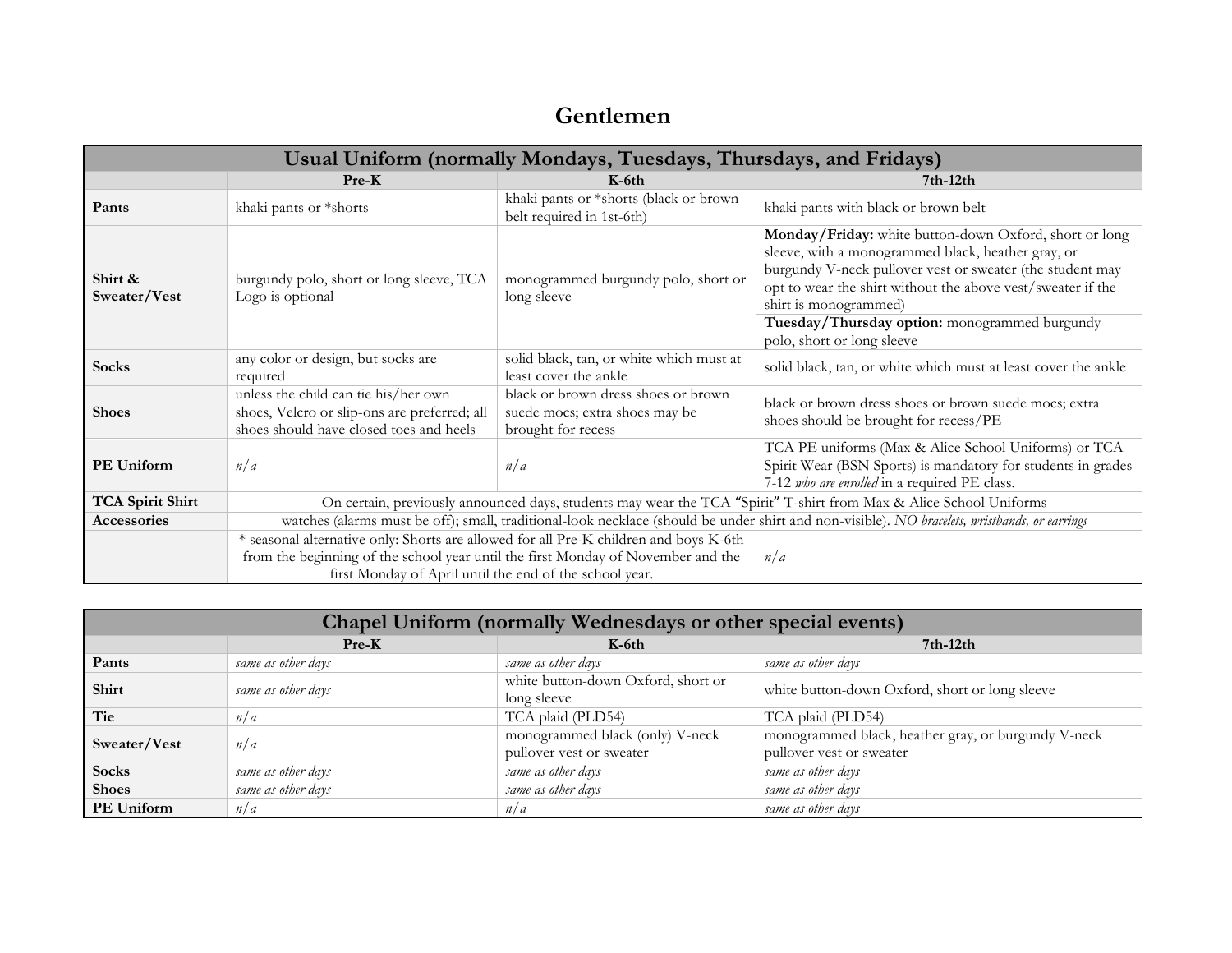### **Gentlemen**

| Usual Uniform (normally Mondays, Tuesdays, Thursdays, and Fridays) |                                                                                                                                               |                                                                                             |                                                                                                                                                                                                                                                                   |  |  |
|--------------------------------------------------------------------|-----------------------------------------------------------------------------------------------------------------------------------------------|---------------------------------------------------------------------------------------------|-------------------------------------------------------------------------------------------------------------------------------------------------------------------------------------------------------------------------------------------------------------------|--|--|
|                                                                    | $Pre-K$                                                                                                                                       | $K$ -6th                                                                                    | $7th-12th$                                                                                                                                                                                                                                                        |  |  |
| Pants                                                              | khaki pants or *shorts                                                                                                                        | khaki pants or *shorts (black or brown<br>belt required in 1st-6th)                         | khaki pants with black or brown belt                                                                                                                                                                                                                              |  |  |
| Shirt &<br>Sweater/Vest                                            | burgundy polo, short or long sleeve, TCA<br>Logo is optional                                                                                  | monogrammed burgundy polo, short or<br>long sleeve                                          | Monday/Friday: white button-down Oxford, short or long<br>sleeve, with a monogrammed black, heather gray, or<br>burgundy V-neck pullover vest or sweater (the student may<br>opt to wear the shirt without the above vest/sweater if the<br>shirt is monogrammed) |  |  |
|                                                                    |                                                                                                                                               |                                                                                             | Tuesday/Thursday option: monogrammed burgundy<br>polo, short or long sleeve                                                                                                                                                                                       |  |  |
| <b>Socks</b>                                                       | any color or design, but socks are<br>required                                                                                                | solid black, tan, or white which must at<br>least cover the ankle                           | solid black, tan, or white which must at least cover the ankle                                                                                                                                                                                                    |  |  |
| <b>Shoes</b>                                                       | unless the child can tie his/her own<br>shoes, Velcro or slip-ons are preferred; all<br>shoes should have closed toes and heels               | black or brown dress shoes or brown<br>suede mocs; extra shoes may be<br>brought for recess | black or brown dress shoes or brown suede mocs; extra<br>shoes should be brought for recess/PE                                                                                                                                                                    |  |  |
| <b>PE Uniform</b>                                                  | n/a                                                                                                                                           | n/a                                                                                         | TCA PE uniforms (Max & Alice School Uniforms) or TCA<br>Spirit Wear (BSN Sports) is mandatory for students in grades<br>7-12 who are enrolled in a required PE class.                                                                                             |  |  |
| <b>TCA Spirit Shirt</b>                                            | On certain, previously announced days, students may wear the TCA "Spirit" T-shirt from Max & Alice School Uniforms                            |                                                                                             |                                                                                                                                                                                                                                                                   |  |  |
| Accessories                                                        | watches (alarms must be off); small, traditional-look necklace (should be under shirt and non-visible). NO bracelets, wristbands, or earrings |                                                                                             |                                                                                                                                                                                                                                                                   |  |  |
|                                                                    | * seasonal alternative only: Shorts are allowed for all Pre-K children and boys K-6th                                                         |                                                                                             |                                                                                                                                                                                                                                                                   |  |  |
|                                                                    | from the beginning of the school year until the first Monday of November and the<br>first Monday of April until the end of the school year.   |                                                                                             | n/a                                                                                                                                                                                                                                                               |  |  |

| Chapel Uniform (normally Wednesdays or other special events) |                    |                                                             |                                                                                 |  |  |  |
|--------------------------------------------------------------|--------------------|-------------------------------------------------------------|---------------------------------------------------------------------------------|--|--|--|
|                                                              | $Pre-K$            | $K$ -6th                                                    | $7th-12th$                                                                      |  |  |  |
| Pants                                                        | same as other days | same as other days                                          | same as other days                                                              |  |  |  |
| Shirt                                                        | same as other days | white button-down Oxford, short or<br>long sleeve           | white button-down Oxford, short or long sleeve                                  |  |  |  |
| Tie                                                          | n/a                | TCA plaid (PLD54)                                           | TCA plaid (PLD54)                                                               |  |  |  |
| Sweater/Vest                                                 | n/a                | monogrammed black (only) V-neck<br>pullover vest or sweater | monogrammed black, heather gray, or burgundy V-neck<br>pullover vest or sweater |  |  |  |
| <b>Socks</b>                                                 | same as other days | same as other days                                          | same as other days                                                              |  |  |  |
| <b>Shoes</b>                                                 | same as other days | same as other days                                          | same as other days                                                              |  |  |  |
| PE Uniform                                                   | n/a                | n/a                                                         | same as other days                                                              |  |  |  |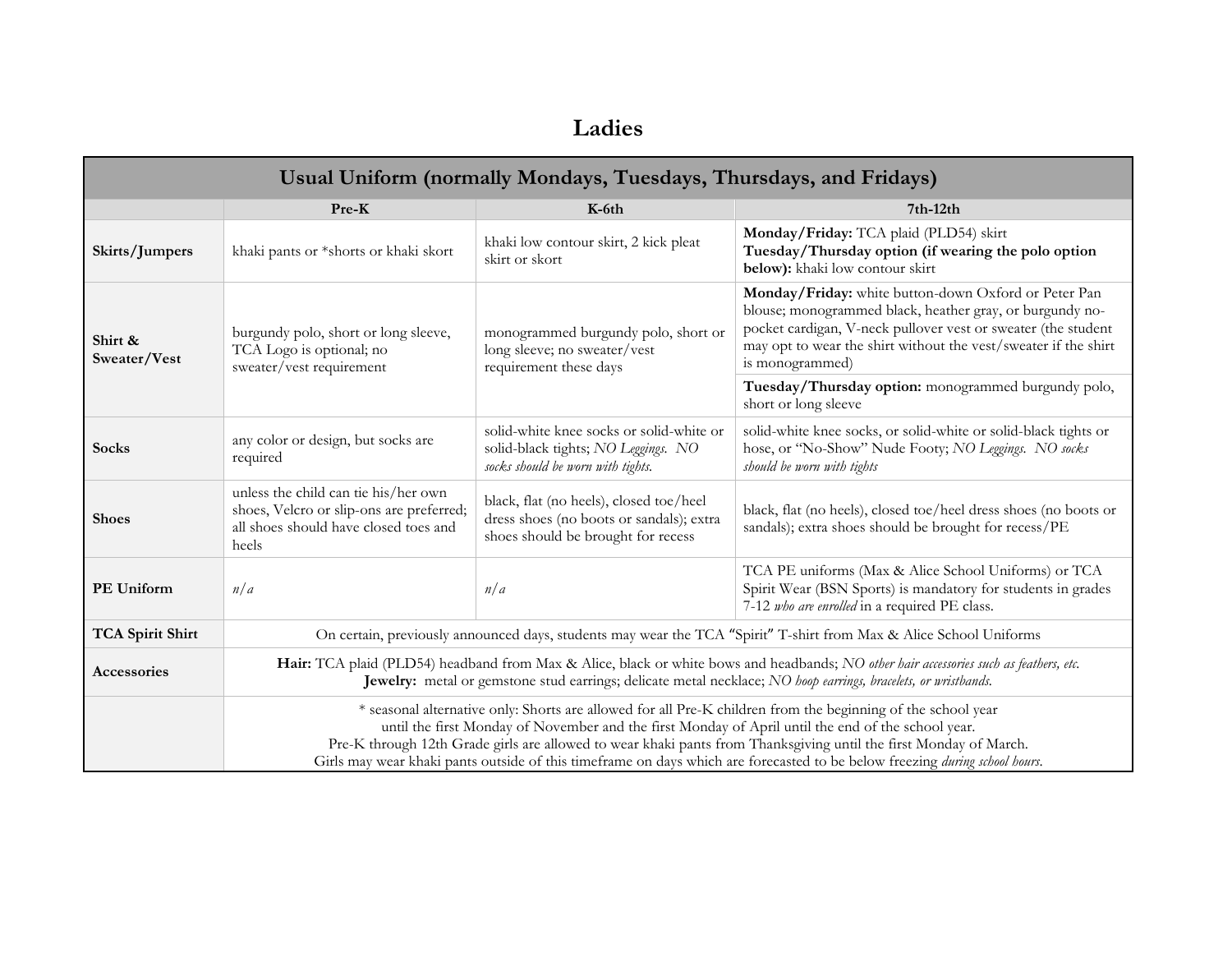### **Ladies**

| Usual Uniform (normally Mondays, Tuesdays, Thursdays, and Fridays) |                                                                                                                                                                                                                                                                                                                                                                                                                                                                        |                                                                                                                           |                                                                                                                                                                                                                                                                         |  |  |  |
|--------------------------------------------------------------------|------------------------------------------------------------------------------------------------------------------------------------------------------------------------------------------------------------------------------------------------------------------------------------------------------------------------------------------------------------------------------------------------------------------------------------------------------------------------|---------------------------------------------------------------------------------------------------------------------------|-------------------------------------------------------------------------------------------------------------------------------------------------------------------------------------------------------------------------------------------------------------------------|--|--|--|
|                                                                    | Pre-K                                                                                                                                                                                                                                                                                                                                                                                                                                                                  | K-6th                                                                                                                     | $7th-12th$                                                                                                                                                                                                                                                              |  |  |  |
| Skirts/Jumpers                                                     | khaki pants or *shorts or khaki skort                                                                                                                                                                                                                                                                                                                                                                                                                                  | khaki low contour skirt, 2 kick pleat<br>skirt or skort                                                                   | Monday/Friday: TCA plaid (PLD54) skirt<br>Tuesday/Thursday option (if wearing the polo option<br>below): khaki low contour skirt                                                                                                                                        |  |  |  |
| Shirt &<br>Sweater/Vest                                            | burgundy polo, short or long sleeve,<br>TCA Logo is optional; no<br>sweater/vest requirement                                                                                                                                                                                                                                                                                                                                                                           | monogrammed burgundy polo, short or<br>long sleeve; no sweater/vest<br>requirement these days                             | Monday/Friday: white button-down Oxford or Peter Pan<br>blouse; monogrammed black, heather gray, or burgundy no-<br>pocket cardigan, V-neck pullover vest or sweater (the student<br>may opt to wear the shirt without the vest/sweater if the shirt<br>is monogrammed) |  |  |  |
|                                                                    |                                                                                                                                                                                                                                                                                                                                                                                                                                                                        |                                                                                                                           | Tuesday/Thursday option: monogrammed burgundy polo,<br>short or long sleeve                                                                                                                                                                                             |  |  |  |
| <b>Socks</b>                                                       | any color or design, but socks are<br>required                                                                                                                                                                                                                                                                                                                                                                                                                         | solid-white knee socks or solid-white or<br>solid-black tights; NO Leggings. NO<br>socks should be worn with tights.      | solid-white knee socks, or solid-white or solid-black tights or<br>hose, or "No-Show" Nude Footy; NO Leggings. NO socks<br>should be worn with tights                                                                                                                   |  |  |  |
| <b>Shoes</b>                                                       | unless the child can tie his/her own<br>shoes, Velcro or slip-ons are preferred;<br>all shoes should have closed toes and<br>heels                                                                                                                                                                                                                                                                                                                                     | black, flat (no heels), closed toe/heel<br>dress shoes (no boots or sandals); extra<br>shoes should be brought for recess | black, flat (no heels), closed toe/heel dress shoes (no boots or<br>sandals); extra shoes should be brought for recess/PE                                                                                                                                               |  |  |  |
| PE Uniform                                                         | n/a                                                                                                                                                                                                                                                                                                                                                                                                                                                                    | n/a                                                                                                                       | TCA PE uniforms (Max & Alice School Uniforms) or TCA<br>Spirit Wear (BSN Sports) is mandatory for students in grades<br>7-12 who are enrolled in a required PE class.                                                                                                   |  |  |  |
| <b>TCA Spirit Shirt</b>                                            | On certain, previously announced days, students may wear the TCA "Spirit" T-shirt from Max & Alice School Uniforms                                                                                                                                                                                                                                                                                                                                                     |                                                                                                                           |                                                                                                                                                                                                                                                                         |  |  |  |
| Accessories                                                        | Hair: TCA plaid (PLD54) headband from Max & Alice, black or white bows and headbands; NO other hair accessories such as feathers, etc.<br>Jewelry: metal or gemstone stud earrings; delicate metal necklace; NO hoop earrings, bracelets, or wristbands.                                                                                                                                                                                                               |                                                                                                                           |                                                                                                                                                                                                                                                                         |  |  |  |
|                                                                    | * seasonal alternative only: Shorts are allowed for all Pre-K children from the beginning of the school year<br>until the first Monday of November and the first Monday of April until the end of the school year.<br>Pre-K through 12th Grade girls are allowed to wear khaki pants from Thanksgiving until the first Monday of March.<br>Girls may wear khaki pants outside of this timeframe on days which are forecasted to be below freezing during school hours. |                                                                                                                           |                                                                                                                                                                                                                                                                         |  |  |  |